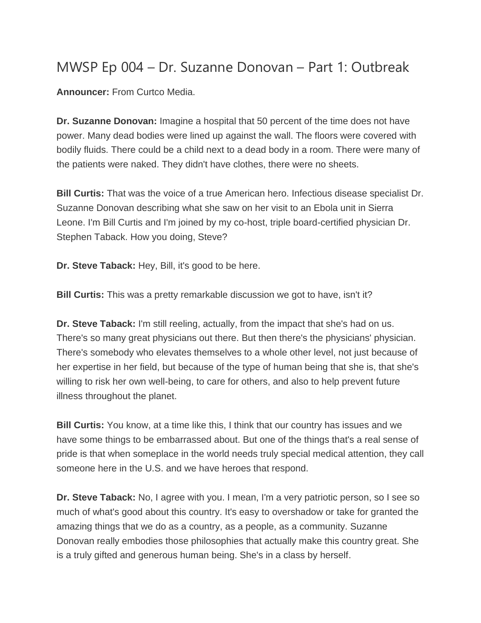## MWSP Ep 004 – Dr. Suzanne Donovan – Part 1: Outbreak

**Announcer:** From Curtco Media.

**Dr. Suzanne Donovan:** Imagine a hospital that 50 percent of the time does not have power. Many dead bodies were lined up against the wall. The floors were covered with bodily fluids. There could be a child next to a dead body in a room. There were many of the patients were naked. They didn't have clothes, there were no sheets.

**Bill Curtis:** That was the voice of a true American hero. Infectious disease specialist Dr. Suzanne Donovan describing what she saw on her visit to an Ebola unit in Sierra Leone. I'm Bill Curtis and I'm joined by my co-host, triple board-certified physician Dr. Stephen Taback. How you doing, Steve?

**Dr. Steve Taback:** Hey, Bill, it's good to be here.

**Bill Curtis:** This was a pretty remarkable discussion we got to have, isn't it?

**Dr. Steve Taback:** I'm still reeling, actually, from the impact that she's had on us. There's so many great physicians out there. But then there's the physicians' physician. There's somebody who elevates themselves to a whole other level, not just because of her expertise in her field, but because of the type of human being that she is, that she's willing to risk her own well-being, to care for others, and also to help prevent future illness throughout the planet.

**Bill Curtis:** You know, at a time like this, I think that our country has issues and we have some things to be embarrassed about. But one of the things that's a real sense of pride is that when someplace in the world needs truly special medical attention, they call someone here in the U.S. and we have heroes that respond.

**Dr. Steve Taback:** No, I agree with you. I mean, I'm a very patriotic person, so I see so much of what's good about this country. It's easy to overshadow or take for granted the amazing things that we do as a country, as a people, as a community. Suzanne Donovan really embodies those philosophies that actually make this country great. She is a truly gifted and generous human being. She's in a class by herself.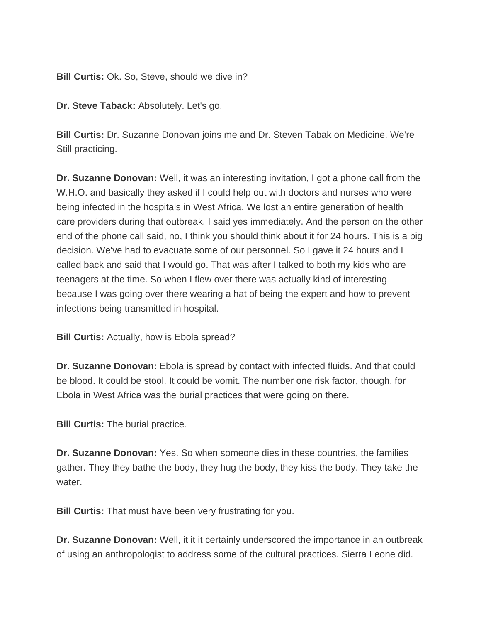**Bill Curtis: Ok. So, Steve, should we dive in?** 

**Dr. Steve Taback:** Absolutely. Let's go.

**Bill Curtis:** Dr. Suzanne Donovan joins me and Dr. Steven Tabak on Medicine. We're Still practicing.

**Dr. Suzanne Donovan:** Well, it was an interesting invitation, I got a phone call from the W.H.O. and basically they asked if I could help out with doctors and nurses who were being infected in the hospitals in West Africa. We lost an entire generation of health care providers during that outbreak. I said yes immediately. And the person on the other end of the phone call said, no, I think you should think about it for 24 hours. This is a big decision. We've had to evacuate some of our personnel. So I gave it 24 hours and I called back and said that I would go. That was after I talked to both my kids who are teenagers at the time. So when I flew over there was actually kind of interesting because I was going over there wearing a hat of being the expert and how to prevent infections being transmitted in hospital.

**Bill Curtis:** Actually, how is Ebola spread?

**Dr. Suzanne Donovan:** Ebola is spread by contact with infected fluids. And that could be blood. It could be stool. It could be vomit. The number one risk factor, though, for Ebola in West Africa was the burial practices that were going on there.

**Bill Curtis: The burial practice.** 

**Dr. Suzanne Donovan:** Yes. So when someone dies in these countries, the families gather. They they bathe the body, they hug the body, they kiss the body. They take the water.

**Bill Curtis:** That must have been very frustrating for you.

**Dr. Suzanne Donovan:** Well, it it it certainly underscored the importance in an outbreak of using an anthropologist to address some of the cultural practices. Sierra Leone did.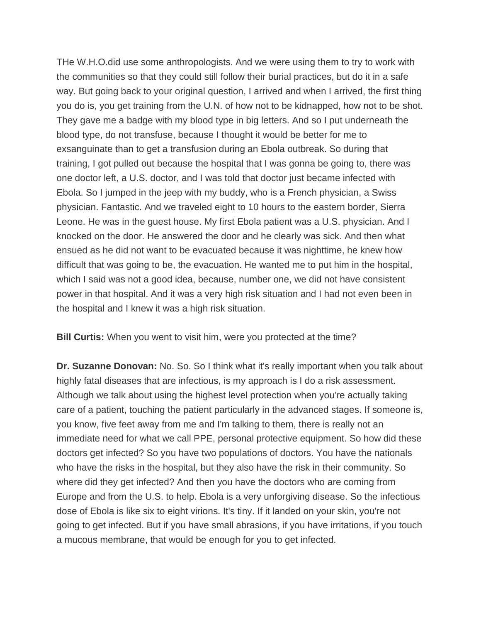THe W.H.O.did use some anthropologists. And we were using them to try to work with the communities so that they could still follow their burial practices, but do it in a safe way. But going back to your original question, I arrived and when I arrived, the first thing you do is, you get training from the U.N. of how not to be kidnapped, how not to be shot. They gave me a badge with my blood type in big letters. And so I put underneath the blood type, do not transfuse, because I thought it would be better for me to exsanguinate than to get a transfusion during an Ebola outbreak. So during that training, I got pulled out because the hospital that I was gonna be going to, there was one doctor left, a U.S. doctor, and I was told that doctor just became infected with Ebola. So I jumped in the jeep with my buddy, who is a French physician, a Swiss physician. Fantastic. And we traveled eight to 10 hours to the eastern border, Sierra Leone. He was in the guest house. My first Ebola patient was a U.S. physician. And I knocked on the door. He answered the door and he clearly was sick. And then what ensued as he did not want to be evacuated because it was nighttime, he knew how difficult that was going to be, the evacuation. He wanted me to put him in the hospital, which I said was not a good idea, because, number one, we did not have consistent power in that hospital. And it was a very high risk situation and I had not even been in the hospital and I knew it was a high risk situation.

**Bill Curtis:** When you went to visit him, were you protected at the time?

**Dr. Suzanne Donovan:** No. So. So I think what it's really important when you talk about highly fatal diseases that are infectious, is my approach is I do a risk assessment. Although we talk about using the highest level protection when you're actually taking care of a patient, touching the patient particularly in the advanced stages. If someone is, you know, five feet away from me and I'm talking to them, there is really not an immediate need for what we call PPE, personal protective equipment. So how did these doctors get infected? So you have two populations of doctors. You have the nationals who have the risks in the hospital, but they also have the risk in their community. So where did they get infected? And then you have the doctors who are coming from Europe and from the U.S. to help. Ebola is a very unforgiving disease. So the infectious dose of Ebola is like six to eight virions. It's tiny. If it landed on your skin, you're not going to get infected. But if you have small abrasions, if you have irritations, if you touch a mucous membrane, that would be enough for you to get infected.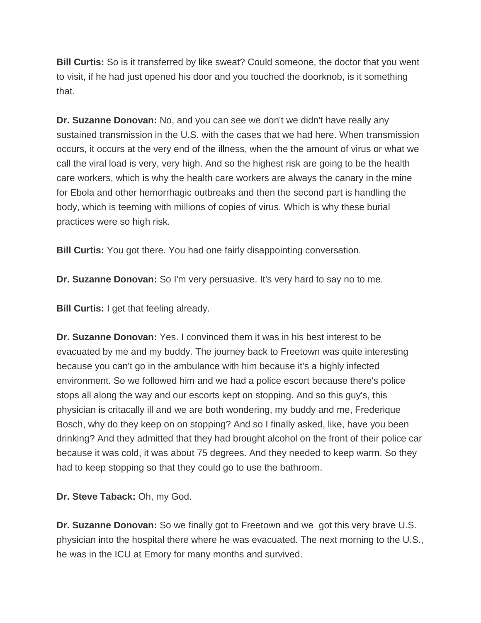**Bill Curtis:** So is it transferred by like sweat? Could someone, the doctor that you went to visit, if he had just opened his door and you touched the doorknob, is it something that.

**Dr. Suzanne Donovan:** No, and you can see we don't we didn't have really any sustained transmission in the U.S. with the cases that we had here. When transmission occurs, it occurs at the very end of the illness, when the the amount of virus or what we call the viral load is very, very high. And so the highest risk are going to be the health care workers, which is why the health care workers are always the canary in the mine for Ebola and other hemorrhagic outbreaks and then the second part is handling the body, which is teeming with millions of copies of virus. Which is why these burial practices were so high risk.

**Bill Curtis:** You got there. You had one fairly disappointing conversation.

**Dr. Suzanne Donovan:** So I'm very persuasive. It's very hard to say no to me.

**Bill Curtis:** I get that feeling already.

**Dr. Suzanne Donovan:** Yes. I convinced them it was in his best interest to be evacuated by me and my buddy. The journey back to Freetown was quite interesting because you can't go in the ambulance with him because it's a highly infected environment. So we followed him and we had a police escort because there's police stops all along the way and our escorts kept on stopping. And so this guy's, this physician is critacally ill and we are both wondering, my buddy and me, Frederique Bosch, why do they keep on on stopping? And so I finally asked, like, have you been drinking? And they admitted that they had brought alcohol on the front of their police car because it was cold, it was about 75 degrees. And they needed to keep warm. So they had to keep stopping so that they could go to use the bathroom.

**Dr. Steve Taback:** Oh, my God.

**Dr. Suzanne Donovan:** So we finally got to Freetown and we got this very brave U.S. physician into the hospital there where he was evacuated. The next morning to the U.S., he was in the ICU at Emory for many months and survived.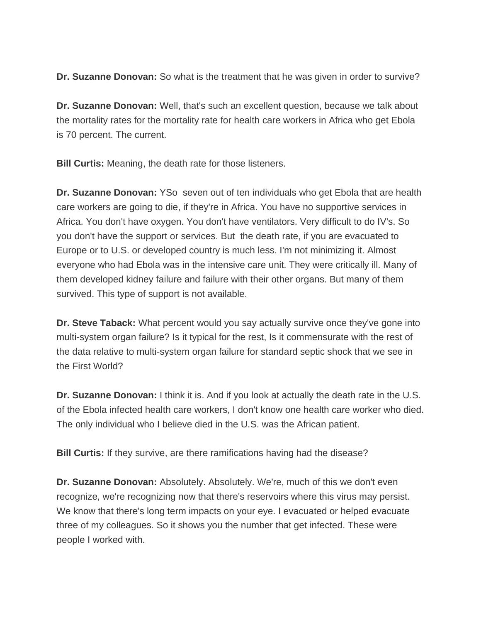**Dr. Suzanne Donovan:** So what is the treatment that he was given in order to survive?

**Dr. Suzanne Donovan:** Well, that's such an excellent question, because we talk about the mortality rates for the mortality rate for health care workers in Africa who get Ebola is 70 percent. The current.

**Bill Curtis:** Meaning, the death rate for those listeners.

**Dr. Suzanne Donovan:** YSo seven out of ten individuals who get Ebola that are health care workers are going to die, if they're in Africa. You have no supportive services in Africa. You don't have oxygen. You don't have ventilators. Very difficult to do IV's. So you don't have the support or services. But the death rate, if you are evacuated to Europe or to U.S. or developed country is much less. I'm not minimizing it. Almost everyone who had Ebola was in the intensive care unit. They were critically ill. Many of them developed kidney failure and failure with their other organs. But many of them survived. This type of support is not available.

**Dr. Steve Taback:** What percent would you say actually survive once they've gone into multi-system organ failure? Is it typical for the rest, Is it commensurate with the rest of the data relative to multi-system organ failure for standard septic shock that we see in the First World?

**Dr. Suzanne Donovan:** I think it is. And if you look at actually the death rate in the U.S. of the Ebola infected health care workers, I don't know one health care worker who died. The only individual who I believe died in the U.S. was the African patient.

**Bill Curtis:** If they survive, are there ramifications having had the disease?

**Dr. Suzanne Donovan:** Absolutely. Absolutely. We're, much of this we don't even recognize, we're recognizing now that there's reservoirs where this virus may persist. We know that there's long term impacts on your eye. I evacuated or helped evacuate three of my colleagues. So it shows you the number that get infected. These were people I worked with.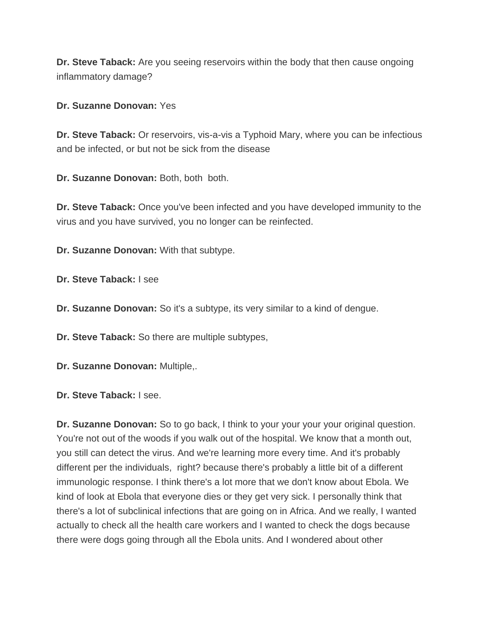**Dr. Steve Taback:** Are you seeing reservoirs within the body that then cause ongoing inflammatory damage?

**Dr. Suzanne Donovan:** Yes

**Dr. Steve Taback:** Or reservoirs, vis-a-vis a Typhoid Mary, where you can be infectious and be infected, or but not be sick from the disease

**Dr. Suzanne Donovan:** Both, both both.

**Dr. Steve Taback:** Once you've been infected and you have developed immunity to the virus and you have survived, you no longer can be reinfected.

**Dr. Suzanne Donovan:** With that subtype.

**Dr. Steve Taback:** I see

**Dr. Suzanne Donovan:** So it's a subtype, its very similar to a kind of dengue.

**Dr. Steve Taback:** So there are multiple subtypes,

**Dr. Suzanne Donovan:** Multiple,.

**Dr. Steve Taback:** I see.

**Dr. Suzanne Donovan:** So to go back, I think to your your your your original question. You're not out of the woods if you walk out of the hospital. We know that a month out, you still can detect the virus. And we're learning more every time. And it's probably different per the individuals, right? because there's probably a little bit of a different immunologic response. I think there's a lot more that we don't know about Ebola. We kind of look at Ebola that everyone dies or they get very sick. I personally think that there's a lot of subclinical infections that are going on in Africa. And we really, I wanted actually to check all the health care workers and I wanted to check the dogs because there were dogs going through all the Ebola units. And I wondered about other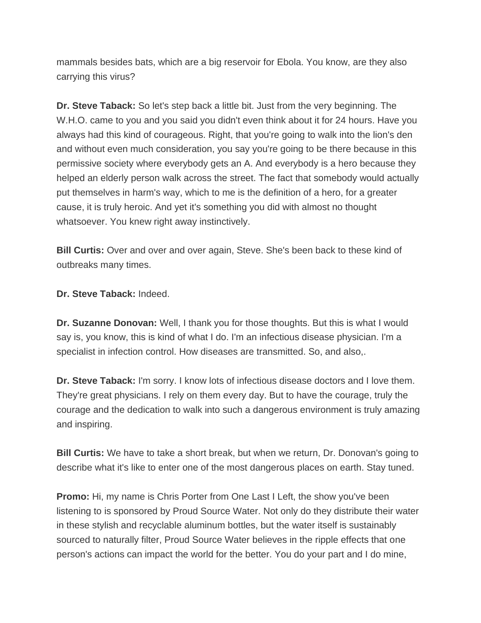mammals besides bats, which are a big reservoir for Ebola. You know, are they also carrying this virus?

**Dr. Steve Taback:** So let's step back a little bit. Just from the very beginning. The W.H.O. came to you and you said you didn't even think about it for 24 hours. Have you always had this kind of courageous. Right, that you're going to walk into the lion's den and without even much consideration, you say you're going to be there because in this permissive society where everybody gets an A. And everybody is a hero because they helped an elderly person walk across the street. The fact that somebody would actually put themselves in harm's way, which to me is the definition of a hero, for a greater cause, it is truly heroic. And yet it's something you did with almost no thought whatsoever. You knew right away instinctively.

**Bill Curtis:** Over and over and over again, Steve. She's been back to these kind of outbreaks many times.

**Dr. Steve Taback:** Indeed.

**Dr. Suzanne Donovan:** Well, I thank you for those thoughts. But this is what I would say is, you know, this is kind of what I do. I'm an infectious disease physician. I'm a specialist in infection control. How diseases are transmitted. So, and also,.

**Dr. Steve Taback:** I'm sorry. I know lots of infectious disease doctors and I love them. They're great physicians. I rely on them every day. But to have the courage, truly the courage and the dedication to walk into such a dangerous environment is truly amazing and inspiring.

**Bill Curtis:** We have to take a short break, but when we return, Dr. Donovan's going to describe what it's like to enter one of the most dangerous places on earth. Stay tuned.

**Promo:** Hi, my name is Chris Porter from One Last I Left, the show you've been listening to is sponsored by Proud Source Water. Not only do they distribute their water in these stylish and recyclable aluminum bottles, but the water itself is sustainably sourced to naturally filter, Proud Source Water believes in the ripple effects that one person's actions can impact the world for the better. You do your part and I do mine,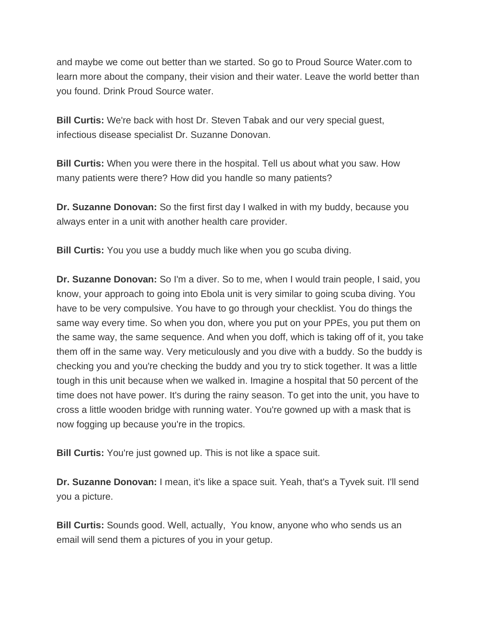and maybe we come out better than we started. So go to Proud Source Water.com to learn more about the company, their vision and their water. Leave the world better than you found. Drink Proud Source water.

**Bill Curtis:** We're back with host Dr. Steven Tabak and our very special guest, infectious disease specialist Dr. Suzanne Donovan.

**Bill Curtis:** When you were there in the hospital. Tell us about what you saw. How many patients were there? How did you handle so many patients?

**Dr. Suzanne Donovan:** So the first first day I walked in with my buddy, because you always enter in a unit with another health care provider.

**Bill Curtis:** You you use a buddy much like when you go scuba diving.

**Dr. Suzanne Donovan:** So I'm a diver. So to me, when I would train people, I said, you know, your approach to going into Ebola unit is very similar to going scuba diving. You have to be very compulsive. You have to go through your checklist. You do things the same way every time. So when you don, where you put on your PPEs, you put them on the same way, the same sequence. And when you doff, which is taking off of it, you take them off in the same way. Very meticulously and you dive with a buddy. So the buddy is checking you and you're checking the buddy and you try to stick together. It was a little tough in this unit because when we walked in. Imagine a hospital that 50 percent of the time does not have power. It's during the rainy season. To get into the unit, you have to cross a little wooden bridge with running water. You're gowned up with a mask that is now fogging up because you're in the tropics.

**Bill Curtis:** You're just gowned up. This is not like a space suit.

**Dr. Suzanne Donovan:** I mean, it's like a space suit. Yeah, that's a Tyvek suit. I'll send you a picture.

**Bill Curtis:** Sounds good. Well, actually, You know, anyone who who sends us an email will send them a pictures of you in your getup.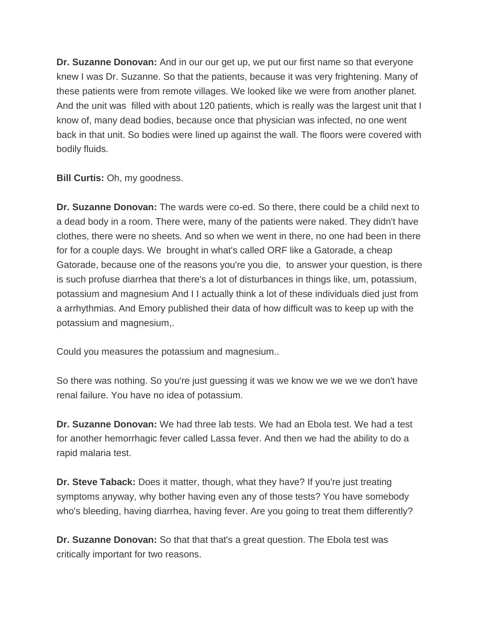**Dr. Suzanne Donovan:** And in our our get up, we put our first name so that everyone knew I was Dr. Suzanne. So that the patients, because it was very frightening. Many of these patients were from remote villages. We looked like we were from another planet. And the unit was filled with about 120 patients, which is really was the largest unit that I know of, many dead bodies, because once that physician was infected, no one went back in that unit. So bodies were lined up against the wall. The floors were covered with bodily fluids.

**Bill Curtis: Oh, my goodness.** 

**Dr. Suzanne Donovan:** The wards were co-ed. So there, there could be a child next to a dead body in a room. There were, many of the patients were naked. They didn't have clothes, there were no sheets. And so when we went in there, no one had been in there for for a couple days. We brought in what's called ORF like a Gatorade, a cheap Gatorade, because one of the reasons you're you die, to answer your question, is there is such profuse diarrhea that there's a lot of disturbances in things like, um, potassium, potassium and magnesium And I I actually think a lot of these individuals died just from a arrhythmias. And Emory published their data of how difficult was to keep up with the potassium and magnesium,.

Could you measures the potassium and magnesium..

So there was nothing. So you're just guessing it was we know we we we we don't have renal failure. You have no idea of potassium.

**Dr. Suzanne Donovan:** We had three lab tests. We had an Ebola test. We had a test for another hemorrhagic fever called Lassa fever. And then we had the ability to do a rapid malaria test.

**Dr. Steve Taback:** Does it matter, though, what they have? If you're just treating symptoms anyway, why bother having even any of those tests? You have somebody who's bleeding, having diarrhea, having fever. Are you going to treat them differently?

**Dr. Suzanne Donovan:** So that that that's a great question. The Ebola test was critically important for two reasons.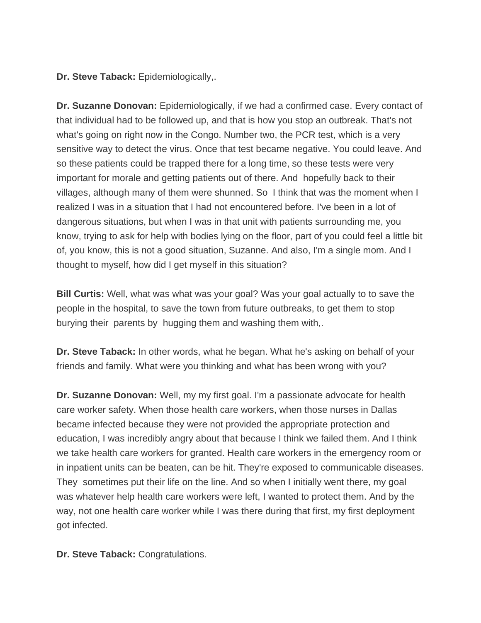**Dr. Steve Taback:** Epidemiologically,.

**Dr. Suzanne Donovan:** Epidemiologically, if we had a confirmed case. Every contact of that individual had to be followed up, and that is how you stop an outbreak. That's not what's going on right now in the Congo. Number two, the PCR test, which is a very sensitive way to detect the virus. Once that test became negative. You could leave. And so these patients could be trapped there for a long time, so these tests were very important for morale and getting patients out of there. And hopefully back to their villages, although many of them were shunned. So I think that was the moment when I realized I was in a situation that I had not encountered before. I've been in a lot of dangerous situations, but when I was in that unit with patients surrounding me, you know, trying to ask for help with bodies lying on the floor, part of you could feel a little bit of, you know, this is not a good situation, Suzanne. And also, I'm a single mom. And I thought to myself, how did I get myself in this situation?

**Bill Curtis:** Well, what was what was your goal? Was your goal actually to to save the people in the hospital, to save the town from future outbreaks, to get them to stop burying their parents by hugging them and washing them with,.

**Dr. Steve Taback:** In other words, what he began. What he's asking on behalf of your friends and family. What were you thinking and what has been wrong with you?

**Dr. Suzanne Donovan:** Well, my my first goal. I'm a passionate advocate for health care worker safety. When those health care workers, when those nurses in Dallas became infected because they were not provided the appropriate protection and education, I was incredibly angry about that because I think we failed them. And I think we take health care workers for granted. Health care workers in the emergency room or in inpatient units can be beaten, can be hit. They're exposed to communicable diseases. They sometimes put their life on the line. And so when I initially went there, my goal was whatever help health care workers were left, I wanted to protect them. And by the way, not one health care worker while I was there during that first, my first deployment got infected.

**Dr. Steve Taback:** Congratulations.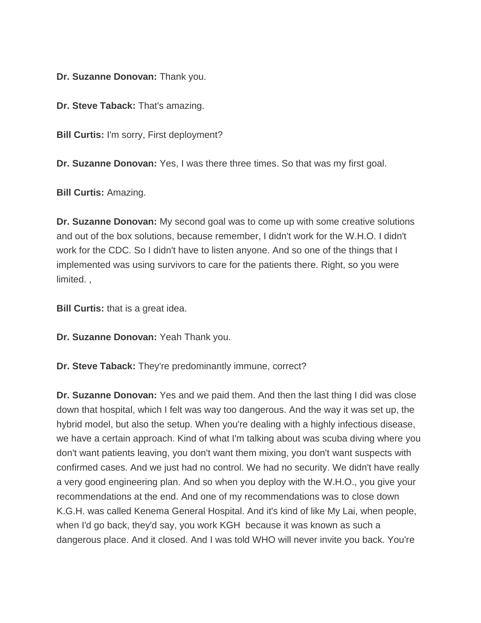**Dr. Suzanne Donovan:** Thank you.

**Dr. Steve Taback:** That's amazing.

**Bill Curtis:** I'm sorry, First deployment?

**Dr. Suzanne Donovan:** Yes, I was there three times. So that was my first goal.

**Bill Curtis:** Amazing.

**Dr. Suzanne Donovan:** My second goal was to come up with some creative solutions and out of the box solutions, because remember, I didn't work for the W.H.O. I didn't work for the CDC. So I didn't have to listen anyone. And so one of the things that I implemented was using survivors to care for the patients there. Right, so you were limited. ,

**Bill Curtis:** that is a great idea.

**Dr. Suzanne Donovan:** Yeah Thank you.

**Dr. Steve Taback:** They're predominantly immune, correct?

**Dr. Suzanne Donovan:** Yes and we paid them. And then the last thing I did was close down that hospital, which I felt was way too dangerous. And the way it was set up, the hybrid model, but also the setup. When you're dealing with a highly infectious disease, we have a certain approach. Kind of what I'm talking about was scuba diving where you don't want patients leaving, you don't want them mixing, you don't want suspects with confirmed cases. And we just had no control. We had no security. We didn't have really a very good engineering plan. And so when you deploy with the W.H.O., you give your recommendations at the end. And one of my recommendations was to close down K.G.H. was called Kenema General Hospital. And it's kind of like My Lai, when people, when I'd go back, they'd say, you work KGH because it was known as such a dangerous place. And it closed. And I was told WHO will never invite you back. You're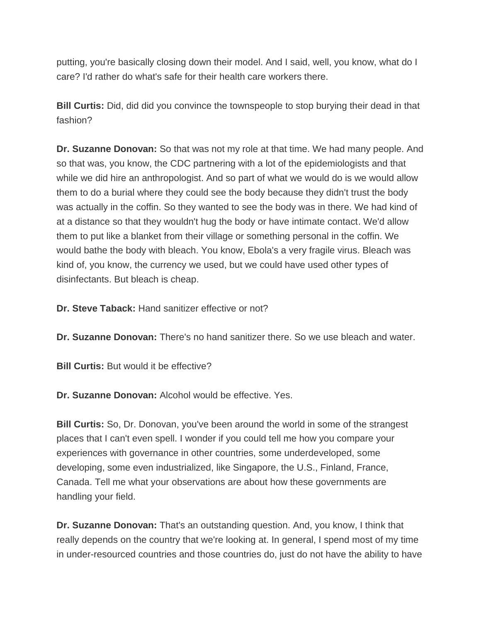putting, you're basically closing down their model. And I said, well, you know, what do I care? I'd rather do what's safe for their health care workers there.

**Bill Curtis:** Did, did did you convince the townspeople to stop burying their dead in that fashion?

**Dr. Suzanne Donovan:** So that was not my role at that time. We had many people. And so that was, you know, the CDC partnering with a lot of the epidemiologists and that while we did hire an anthropologist. And so part of what we would do is we would allow them to do a burial where they could see the body because they didn't trust the body was actually in the coffin. So they wanted to see the body was in there. We had kind of at a distance so that they wouldn't hug the body or have intimate contact. We'd allow them to put like a blanket from their village or something personal in the coffin. We would bathe the body with bleach. You know, Ebola's a very fragile virus. Bleach was kind of, you know, the currency we used, but we could have used other types of disinfectants. But bleach is cheap.

**Dr. Steve Taback:** Hand sanitizer effective or not?

**Dr. Suzanne Donovan:** There's no hand sanitizer there. So we use bleach and water.

**Bill Curtis:** But would it be effective?

**Dr. Suzanne Donovan:** Alcohol would be effective. Yes.

**Bill Curtis:** So, Dr. Donovan, you've been around the world in some of the strangest places that I can't even spell. I wonder if you could tell me how you compare your experiences with governance in other countries, some underdeveloped, some developing, some even industrialized, like Singapore, the U.S., Finland, France, Canada. Tell me what your observations are about how these governments are handling your field.

**Dr. Suzanne Donovan:** That's an outstanding question. And, you know, I think that really depends on the country that we're looking at. In general, I spend most of my time in under-resourced countries and those countries do, just do not have the ability to have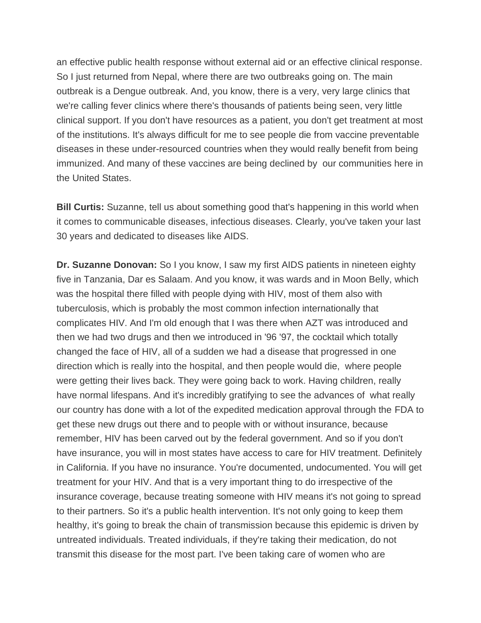an effective public health response without external aid or an effective clinical response. So I just returned from Nepal, where there are two outbreaks going on. The main outbreak is a Dengue outbreak. And, you know, there is a very, very large clinics that we're calling fever clinics where there's thousands of patients being seen, very little clinical support. If you don't have resources as a patient, you don't get treatment at most of the institutions. It's always difficult for me to see people die from vaccine preventable diseases in these under-resourced countries when they would really benefit from being immunized. And many of these vaccines are being declined by our communities here in the United States.

**Bill Curtis:** Suzanne, tell us about something good that's happening in this world when it comes to communicable diseases, infectious diseases. Clearly, you've taken your last 30 years and dedicated to diseases like AIDS.

**Dr. Suzanne Donovan:** So I you know, I saw my first AIDS patients in nineteen eighty five in Tanzania, Dar es Salaam. And you know, it was wards and in Moon Belly, which was the hospital there filled with people dying with HIV, most of them also with tuberculosis, which is probably the most common infection internationally that complicates HIV. And I'm old enough that I was there when AZT was introduced and then we had two drugs and then we introduced in '96 '97, the cocktail which totally changed the face of HIV, all of a sudden we had a disease that progressed in one direction which is really into the hospital, and then people would die, where people were getting their lives back. They were going back to work. Having children, really have normal lifespans. And it's incredibly gratifying to see the advances of what really our country has done with a lot of the expedited medication approval through the FDA to get these new drugs out there and to people with or without insurance, because remember, HIV has been carved out by the federal government. And so if you don't have insurance, you will in most states have access to care for HIV treatment. Definitely in California. If you have no insurance. You're documented, undocumented. You will get treatment for your HIV. And that is a very important thing to do irrespective of the insurance coverage, because treating someone with HIV means it's not going to spread to their partners. So it's a public health intervention. It's not only going to keep them healthy, it's going to break the chain of transmission because this epidemic is driven by untreated individuals. Treated individuals, if they're taking their medication, do not transmit this disease for the most part. I've been taking care of women who are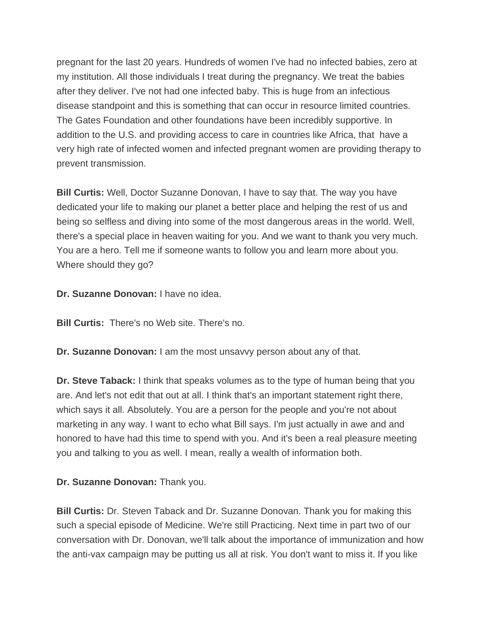pregnant for the last 20 years. Hundreds of women I've had no infected babies, zero at my institution. All those individuals I treat during the pregnancy. We treat the babies after they deliver. I've not had one infected baby. This is huge from an infectious disease standpoint and this is something that can occur in resource limited countries. The Gates Foundation and other foundations have been incredibly supportive. In addition to the U.S. and providing access to care in countries like Africa, that have a very high rate of infected women and infected pregnant women are providing therapy to prevent transmission.

**Bill Curtis:** Well, Doctor Suzanne Donovan, I have to say that. The way you have dedicated your life to making our planet a better place and helping the rest of us and being so selfless and diving into some of the most dangerous areas in the world. Well, there's a special place in heaven waiting for you. And we want to thank you very much. You are a hero. Tell me if someone wants to follow you and learn more about you. Where should they go?

**Dr. Suzanne Donovan:** I have no idea.

**Bill Curtis:** There's no Web site. There's no.

**Dr. Suzanne Donovan:** I am the most unsavvy person about any of that.

**Dr. Steve Taback:** I think that speaks volumes as to the type of human being that you are. And let's not edit that out at all. I think that's an important statement right there, which says it all. Absolutely. You are a person for the people and you're not about marketing in any way. I want to echo what Bill says. I'm just actually in awe and and honored to have had this time to spend with you. And it's been a real pleasure meeting you and talking to you as well. I mean, really a wealth of information both.

## **Dr. Suzanne Donovan:** Thank you.

**Bill Curtis:** Dr. Steven Taback and Dr. Suzanne Donovan. Thank you for making this such a special episode of Medicine. We're still Practicing. Next time in part two of our conversation with Dr. Donovan, we'll talk about the importance of immunization and how the anti-vax campaign may be putting us all at risk. You don't want to miss it. If you like